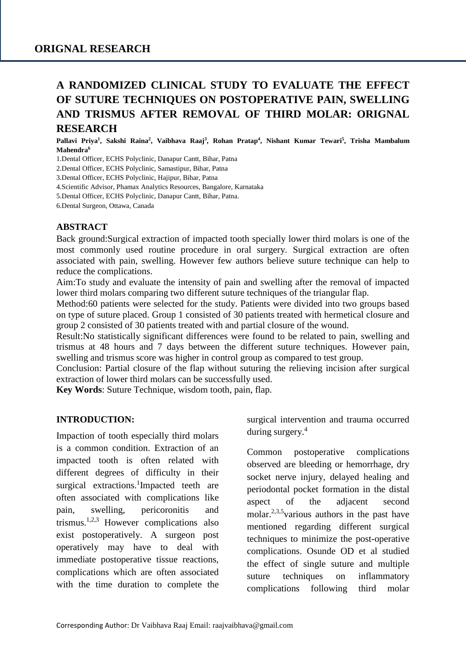# **A RANDOMIZED CLINICAL STUDY TO EVALUATE THE EFFECT OF SUTURE TECHNIQUES ON POSTOPERATIVE PAIN, SWELLING AND TRISMUS AFTER REMOVAL OF THIRD MOLAR: ORIGNAL RESEARCH**

**Pallavi Priya<sup>1</sup> , Sakshi Raina<sup>2</sup> , Vaibhava Raaj<sup>3</sup> , Rohan Pratap<sup>4</sup> , Nishant Kumar Tewari<sup>5</sup> , Trisha Mambalum Mahendra<sup>6</sup>**

1.Dental Officer, ECHS Polyclinic, Danapur Cantt, Bihar, Patna

2.Dental Officer, ECHS Polyclinic, Samastipur, Bihar, Patna

3.Dental Officer, ECHS Polyclinic, Hajipur, Bihar, Patna

4.Scientific Advisor, Phamax Analytics Resources, Bangalore, Karnataka

5.Dental Officer, ECHS Polyclinic, Danapur Cantt, Bihar, Patna.

6.Dental Surgeon, Ottawa, Canada

#### **ABSTRACT**

Back ground:Surgical extraction of impacted tooth specially lower third molars is one of the most commonly used routine procedure in oral surgery. Surgical extraction are often associated with pain, swelling. However few authors believe suture technique can help to reduce the complications.

Aim:To study and evaluate the intensity of pain and swelling after the removal of impacted lower third molars comparing two different suture techniques of the triangular flap.

Method:60 patients were selected for the study. Patients were divided into two groups based on type of suture placed. Group 1 consisted of 30 patients treated with hermetical closure and group 2 consisted of 30 patients treated with and partial closure of the wound.

Result:No statistically significant differences were found to be related to pain, swelling and trismus at 48 hours and 7 days between the different suture techniques. However pain, swelling and trismus score was higher in control group as compared to test group.

Conclusion: Partial closure of the flap without suturing the relieving incision after surgical extraction of lower third molars can be successfully used.

**Key Words**: Suture Technique, wisdom tooth, pain, flap.

#### **INTRODUCTION:**

Impaction of tooth especially third molars is a common condition. Extraction of an impacted tooth is often related with different degrees of difficulty in their surgical extractions.<sup>1</sup>Impacted teeth are often associated with complications like pain, swelling, pericoronitis and trismus.<sup>1,2,3</sup> However complications also exist postoperatively. A surgeon post operatively may have to deal with immediate postoperative tissue reactions, complications which are often associated with the time duration to complete the surgical intervention and trauma occurred during surgery.<sup>4</sup>

Common postoperative complications observed are bleeding or hemorrhage, dry socket nerve injury, delayed healing and periodontal pocket formation in the distal aspect of the adjacent second molar.<sup>2,3,5</sup>various authors in the past have mentioned regarding different surgical techniques to minimize the post-operative complications. Osunde OD et al studied the effect of single suture and multiple suture techniques on inflammatory complications following third molar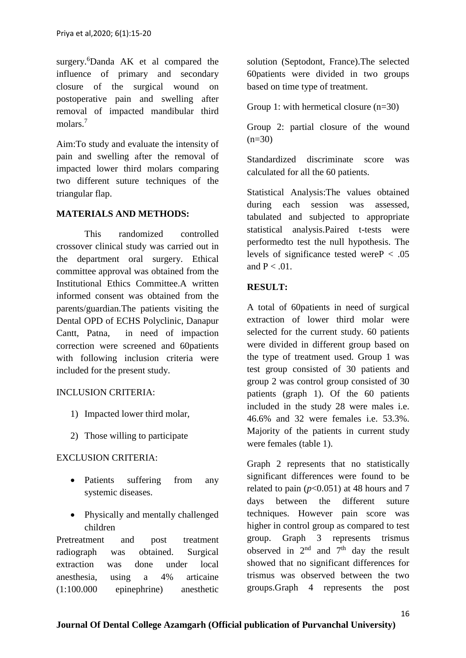surgery.<sup>6</sup>[Danda AK](https://www.ncbi.nlm.nih.gov/pubmed/?term=Danda%20AK%5BAuthor%5D&cauthor=true&cauthor_uid=20116700) et al compared the influence of primary and secondary closure of the surgical wound on postoperative pain and swelling after removal of impacted mandibular third molars<sup>7</sup>

Aim:To study and evaluate the intensity of pain and swelling after the removal of impacted lower third molars comparing two different suture techniques of the triangular flap.

#### **MATERIALS AND METHODS:**

This randomized controlled crossover clinical study was carried out in the department oral surgery. Ethical committee approval was obtained from the Institutional Ethics Committee.A written informed consent was obtained from the parents/guardian.The patients visiting the Dental OPD of ECHS Polyclinic, Danapur Cantt, Patna, in need of impaction correction were screened and 60patients with following inclusion criteria were included for the present study.

## INCLUSION CRITERIA:

- 1) Impacted lower third molar,
- 2) Those willing to participate

## EXCLUSION CRITERIA:

- Patients suffering from any systemic diseases.
- Physically and mentally challenged children

Pretreatment and post treatment radiograph was obtained. Surgical extraction was done under local anesthesia, using a 4% articaine (1:100.000 epinephrine) anesthetic

solution (Septodont, France).The selected 60patients were divided in two groups based on time type of treatment.

Group 1: with hermetical closure (n=30)

Group 2: partial closure of the wound  $(n=30)$ 

Standardized discriminate score was calculated for all the 60 patients.

Statistical Analysis:The values obtained during each session was assessed. tabulated and subjected to appropriate statistical analysis.Paired t-tests were performedto test the null hypothesis. The levels of significance tested were  $P < .05$ and  $P < 0.01$ .

## **RESULT:**

A total of 60patients in need of surgical extraction of lower third molar were selected for the current study. 60 patients were divided in different group based on the type of treatment used. Group 1 was test group consisted of 30 patients and group 2 was control group consisted of 30 patients (graph 1). Of the 60 patients included in the study 28 were males i.e. 46.6% and 32 were females i.e. 53.3%. Majority of the patients in current study were females (table 1).

Graph 2 represents that no statistically significant differences were found to be related to pain  $(p<0.051)$  at 48 hours and 7 days between the different suture techniques. However pain score was higher in control group as compared to test group. Graph 3 represents trismus observed in  $2<sup>nd</sup>$  and  $7<sup>th</sup>$  day the result showed that no significant differences for trismus was observed between the two groups.Graph 4 represents the post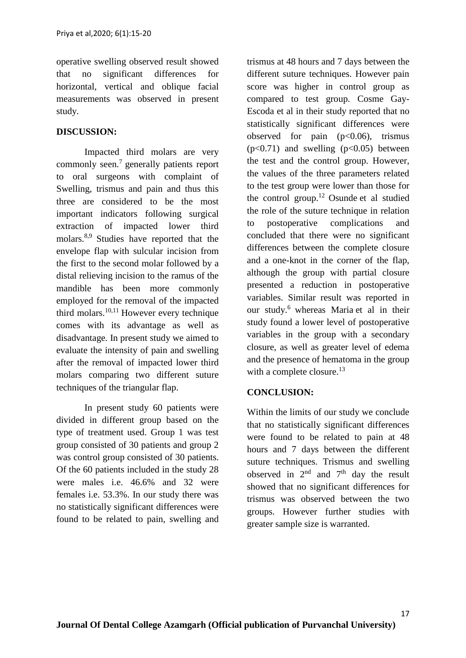operative swelling observed result showed that no significant differences for horizontal, vertical and oblique facial measurements was observed in present study.

## **DISCUSSION:**

Impacted third molars are very commonly seen.<sup>7</sup> generally patients report to oral surgeons with complaint of Swelling, trismus and pain and thus this three are considered to be the most important indicators following surgical extraction of impacted lower third molars.8,9 Studies have reported that the envelope flap with sulcular incision from the first to the second molar followed by a distal relieving incision to the ramus of the mandible has been more commonly employed for the removal of the impacted third molars.<sup>10,11</sup> However every technique comes with its advantage as well as disadvantage. In present study we aimed to evaluate the intensity of pain and swelling after the removal of impacted lower third molars comparing two different suture techniques of the triangular flap.

In present study 60 patients were divided in different group based on the type of treatment used. Group 1 was test group consisted of 30 patients and group 2 was control group consisted of 30 patients. Of the 60 patients included in the study 28 were males i.e. 46.6% and 32 were females i.e. 53.3%. In our study there was no statistically significant differences were found to be related to pain, swelling and trismus at 48 hours and 7 days between the different suture techniques. However pain score was higher in control group as compared to test group. [Cosme Gay-](https://www.ncbi.nlm.nih.gov/pubmed/?term=Gay-Escoda%20C%5BAuthor%5D&cauthor=true&cauthor_uid=25662551)[Escoda](https://www.ncbi.nlm.nih.gov/pubmed/?term=Gay-Escoda%20C%5BAuthor%5D&cauthor=true&cauthor_uid=25662551) et al in their study reported that no statistically significant differences were observed for pain  $(p<0.06)$ , trismus  $(p<0.71)$  and swelling  $(p<0.05)$  between the test and the control group. However, the values of the three parameters related to the test group were lower than those for the control group.<sup>12</sup> Osunde et al studied the role of the suture technique in relation to postoperative complications and concluded that there were no significant differences between the complete closure and a one-knot in the corner of the flap, although the group with partial closure presented a reduction in postoperative variables. Similar result was reported in our study.<sup>6</sup> whereas Maria et al in their study found a lower level of postoperative variables in the group with a secondary closure, as well as greater level of edema and the presence of hematoma in the group with a complete closure. $13$ 

## **CONCLUSION:**

Within the limits of our study we conclude that no statistically significant differences were found to be related to pain at 48 hours and 7 days between the different suture techniques. Trismus and swelling observed in  $2<sup>nd</sup>$  and  $7<sup>th</sup>$  day the result showed that no significant differences for trismus was observed between the two groups. However further studies with greater sample size is warranted.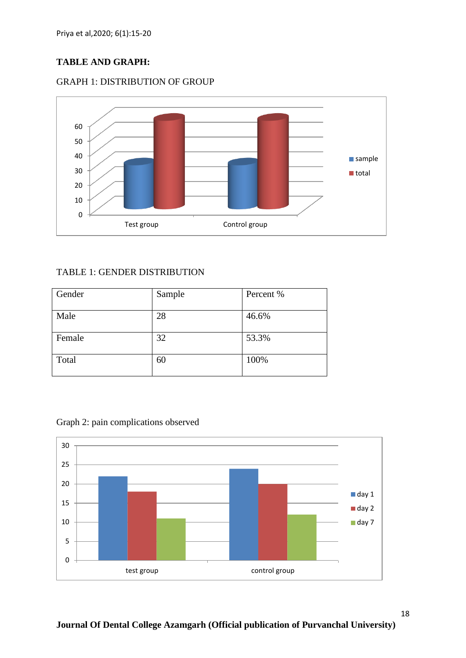## **TABLE AND GRAPH:**





## TABLE 1: GENDER DISTRIBUTION

| Gender | Sample | Percent % |
|--------|--------|-----------|
| Male   | 28     | 46.6%     |
| Female | 32     | 53.3%     |
| Total  | 60     | 100%      |

Graph 2: pain complications observed

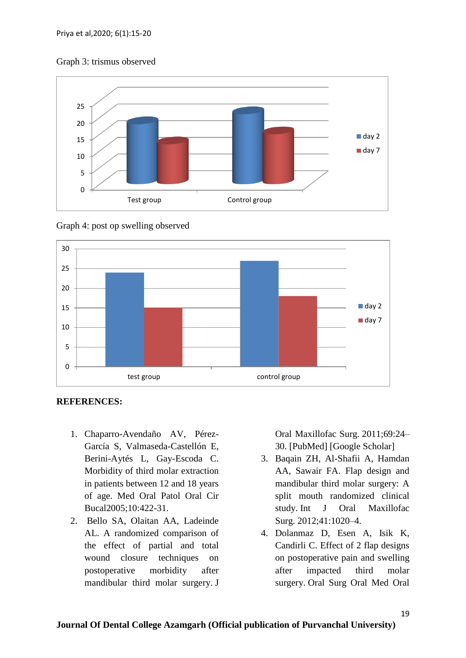#### Graph 3: trismus observed





Graph 4: post op swelling observed

**REFERENCES:**

- 1. Chaparro-Avendaño AV, Pérez-García S, Valmaseda-Castellón E, Berini-Aytés L, Gay-Escoda C. Morbidity of third molar extraction in patients between 12 and 18 years of age. Med Oral Patol Oral Cir Bucal2005;10:422-31.
- 2. Bello SA, Olaitan AA, Ladeinde AL. A randomized comparison of the effect of partial and total wound closure techniques on postoperative morbidity after mandibular third molar surgery. J

Oral Maxillofac Surg. 2011;69:24– 30. [\[PubMed\]](https://www.ncbi.nlm.nih.gov/pubmed/21497001) [\[Google Scholar\]](https://scholar.google.com/scholar_lookup?journal=J+Oral+Maxillofac+Surg&title=A+randomized+comparison+of+the+effect+of+partial+and+total+wound+closure+techniques+on+postoperative+morbidity+after+mandibular+third+molar+surgery&author=SA+Bello&author=AA+Olaitan&author=AL+Ladeinde&volume=69&publication_year=2011&pages=24-30&pmid=21497001&)

- 3. Baqain ZH, Al-Shafii A, Hamdan AA, Sawair FA. Flap design and mandibular third molar surgery: A split mouth randomized clinical study. Int J Oral Maxillofac Surg. 2012;41:1020–4.
- 4. Dolanmaz D, Esen A, Isik K, Candirli C. Effect of 2 flap designs on postoperative pain and swelling after impacted third molar surgery. Oral Surg Oral Med Oral